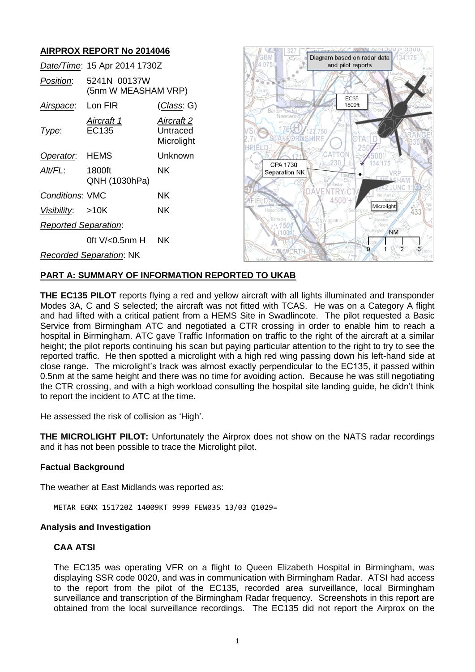# **AIRPROX REPORT No 2014046**

|                                | Date/Time: 15 Apr 2014 1730Z        |                                      |
|--------------------------------|-------------------------------------|--------------------------------------|
| Position:                      | 5241N 00137W<br>(5nm W MEASHAM VRP) |                                      |
| Airspace:                      | Lon FIR                             | <u>(Class</u> : G)                   |
| Type:                          | Aircraft 1<br>EC135                 | Aircraft 2<br>Untraced<br>Microlight |
| Operator. HEMS                 |                                     | Unknown                              |
| Alt/FL:                        | 1800ft<br>QNH (1030hPa)             | ΝK                                   |
| <b>Conditions: VMC</b>         |                                     | ΝK                                   |
| Visibility: >10K               |                                     | ΝK                                   |
| <b>Reported Separation:</b>    |                                     |                                      |
|                                | 0ft $V/0.5$ nm H                    | ΝK                                   |
| <b>Recorded Separation: NK</b> |                                     |                                      |



## **PART A: SUMMARY OF INFORMATION REPORTED TO UKAB**

**THE EC135 PILOT** reports flying a red and yellow aircraft with all lights illuminated and transponder Modes 3A, C and S selected; the aircraft was not fitted with TCAS. He was on a Category A flight and had lifted with a critical patient from a HEMS Site in Swadlincote. The pilot requested a Basic Service from Birmingham ATC and negotiated a CTR crossing in order to enable him to reach a hospital in Birmingham. ATC gave Traffic Information on traffic to the right of the aircraft at a similar height; the pilot reports continuing his scan but paying particular attention to the right to try to see the reported traffic. He then spotted a microlight with a high red wing passing down his left-hand side at close range. The microlight's track was almost exactly perpendicular to the EC135, it passed within 0.5nm at the same height and there was no time for avoiding action. Because he was still negotiating the CTR crossing, and with a high workload consulting the hospital site landing guide, he didn't think to report the incident to ATC at the time.

He assessed the risk of collision as 'High'.

**THE MICROLIGHT PILOT:** Unfortunately the Airprox does not show on the NATS radar recordings and it has not been possible to trace the Microlight pilot.

#### **Factual Background**

The weather at East Midlands was reported as:

METAR EGNX 151720Z 14009KT 9999 FEW035 13/03 Q1029=

#### **Analysis and Investigation**

## **CAA ATSI**

The EC135 was operating VFR on a flight to Queen Elizabeth Hospital in Birmingham, was displaying SSR code 0020, and was in communication with Birmingham Radar. ATSI had access to the report from the pilot of the EC135, recorded area surveillance, local Birmingham surveillance and transcription of the Birmingham Radar frequency. Screenshots in this report are obtained from the local surveillance recordings. The EC135 did not report the Airprox on the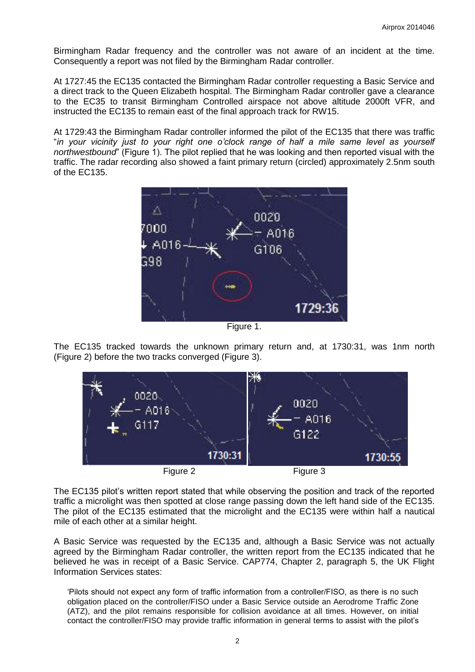Birmingham Radar frequency and the controller was not aware of an incident at the time. Consequently a report was not filed by the Birmingham Radar controller.

At 1727:45 the EC135 contacted the Birmingham Radar controller requesting a Basic Service and a direct track to the Queen Elizabeth hospital. The Birmingham Radar controller gave a clearance to the EC35 to transit Birmingham Controlled airspace not above altitude 2000ft VFR, and instructed the EC135 to remain east of the final approach track for RW15.

At 1729:43 the Birmingham Radar controller informed the pilot of the EC135 that there was traffic "*in your vicinity just to your right one o'clock range of half a mile same level as yourself northwestbound*" (Figure 1). The pilot replied that he was looking and then reported visual with the traffic. The radar recording also showed a faint primary return (circled) approximately 2.5nm south of the EC135.



Figure 1.

The EC135 tracked towards the unknown primary return and, at 1730:31, was 1nm north (Figure 2) before the two tracks converged (Figure 3).



The EC135 pilot's written report stated that while observing the position and track of the reported traffic a microlight was then spotted at close range passing down the left hand side of the EC135. The pilot of the EC135 estimated that the microlight and the EC135 were within half a nautical mile of each other at a similar height.

A Basic Service was requested by the EC135 and, although a Basic Service was not actually agreed by the Birmingham Radar controller, the written report from the EC135 indicated that he believed he was in receipt of a Basic Service. CAP774, Chapter 2, paragraph 5, the UK Flight Information Services states:

'Pilots should not expect any form of traffic information from a controller/FISO, as there is no such obligation placed on the controller/FISO under a Basic Service outside an Aerodrome Traffic Zone (ATZ), and the pilot remains responsible for collision avoidance at all times. However, on initial contact the controller/FISO may provide traffic information in general terms to assist with the pilot's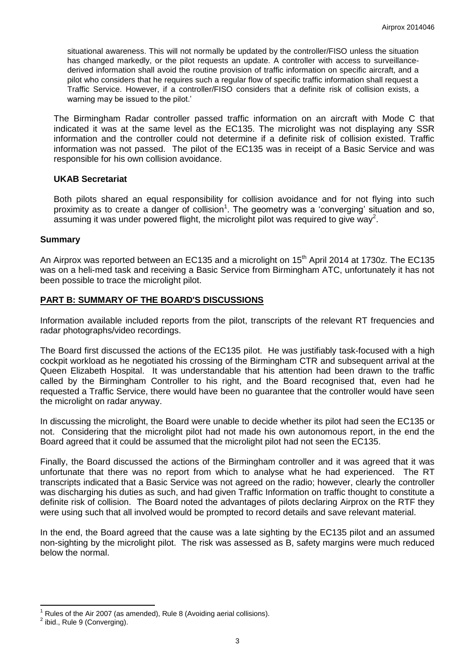situational awareness. This will not normally be updated by the controller/FISO unless the situation has changed markedly, or the pilot requests an update. A controller with access to surveillancederived information shall avoid the routine provision of traffic information on specific aircraft, and a pilot who considers that he requires such a regular flow of specific traffic information shall request a Traffic Service. However, if a controller/FISO considers that a definite risk of collision exists, a warning may be issued to the pilot.'

The Birmingham Radar controller passed traffic information on an aircraft with Mode C that indicated it was at the same level as the EC135. The microlight was not displaying any SSR information and the controller could not determine if a definite risk of collision existed. Traffic information was not passed. The pilot of the EC135 was in receipt of a Basic Service and was responsible for his own collision avoidance.

#### **UKAB Secretariat**

Both pilots shared an equal responsibility for collision avoidance and for not flying into such proximity as to create a danger of collision<sup>1</sup>. The geometry was a 'converging' situation and so, assuming it was under powered flight, the microlight pilot was required to give way<sup>2</sup>.

### **Summary**

An Airprox was reported between an EC135 and a microlight on 15<sup>th</sup> April 2014 at 1730z. The EC135 was on a heli-med task and receiving a Basic Service from Birmingham ATC, unfortunately it has not been possible to trace the microlight pilot.

## **PART B: SUMMARY OF THE BOARD'S DISCUSSIONS**

Information available included reports from the pilot, transcripts of the relevant RT frequencies and radar photographs/video recordings.

The Board first discussed the actions of the EC135 pilot. He was justifiably task-focused with a high cockpit workload as he negotiated his crossing of the Birmingham CTR and subsequent arrival at the Queen Elizabeth Hospital. It was understandable that his attention had been drawn to the traffic called by the Birmingham Controller to his right, and the Board recognised that, even had he requested a Traffic Service, there would have been no guarantee that the controller would have seen the microlight on radar anyway.

In discussing the microlight, the Board were unable to decide whether its pilot had seen the EC135 or not. Considering that the microlight pilot had not made his own autonomous report, in the end the Board agreed that it could be assumed that the microlight pilot had not seen the EC135.

Finally, the Board discussed the actions of the Birmingham controller and it was agreed that it was unfortunate that there was no report from which to analyse what he had experienced. The RT transcripts indicated that a Basic Service was not agreed on the radio; however, clearly the controller was discharging his duties as such, and had given Traffic Information on traffic thought to constitute a definite risk of collision. The Board noted the advantages of pilots declaring Airprox on the RTF they were using such that all involved would be prompted to record details and save relevant material.

In the end, the Board agreed that the cause was a late sighting by the EC135 pilot and an assumed non-sighting by the microlight pilot. The risk was assessed as B, safety margins were much reduced below the normal.

 $\overline{\phantom{a}}$ 

Rules of the Air 2007 (as amended), Rule 8 (Avoiding aerial collisions).

 $2$  ibid., Rule 9 (Converging).